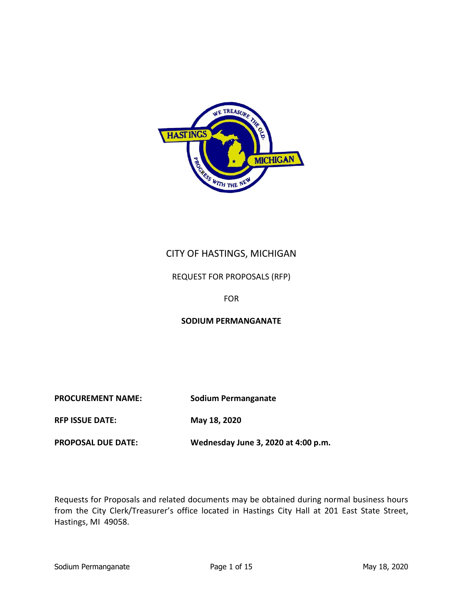

# CITY OF HASTINGS, MICHIGAN

## REQUEST FOR PROPOSALS (RFP)

## FOR

## **SODIUM PERMANGANATE**

**PROCUREMENT NAME: Sodium Permanganate**

**RFP ISSUE DATE: May 18, 2020**

**PROPOSAL DUE DATE: Wednesday June 3, 2020 at 4:00 p.m.**

Requests for Proposals and related documents may be obtained during normal business hours from the City Clerk/Treasurer's office located in Hastings City Hall at 201 East State Street, Hastings, MI 49058.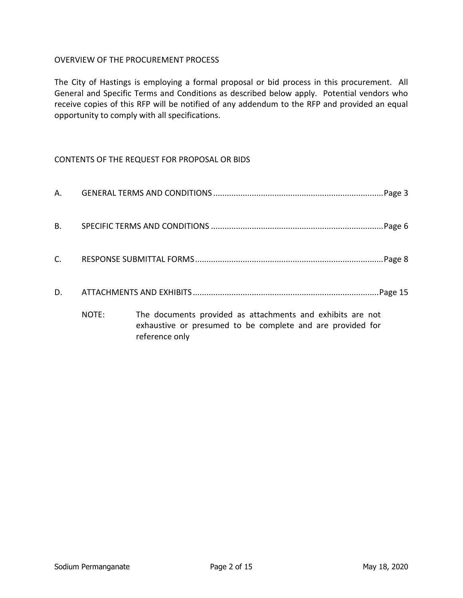## OVERVIEW OF THE PROCUREMENT PROCESS

The City of Hastings is employing a formal proposal or bid process in this procurement. All General and Specific Terms and Conditions as described below apply. Potential vendors who receive copies of this RFP will be notified of any addendum to the RFP and provided an equal opportunity to comply with all specifications.

## CONTENTS OF THE REQUEST FOR PROPOSAL OR BIDS

| А.        |       |                                                                                                                                            |
|-----------|-------|--------------------------------------------------------------------------------------------------------------------------------------------|
| <b>B.</b> |       |                                                                                                                                            |
| C.        |       |                                                                                                                                            |
| D.        |       |                                                                                                                                            |
|           | NOTE: | The documents provided as attachments and exhibits are not<br>exhaustive or presumed to be complete and are provided for<br>reference only |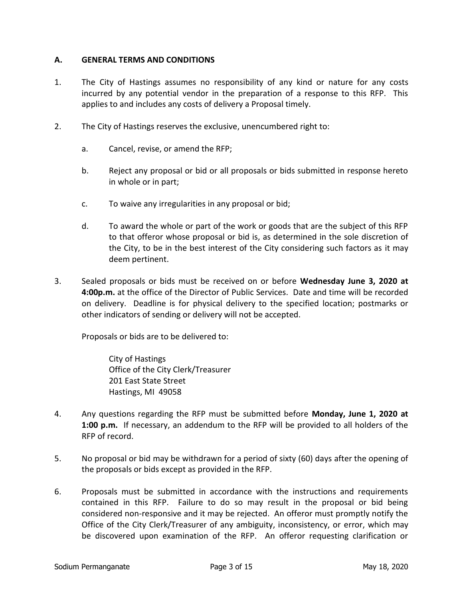### **A. GENERAL TERMS AND CONDITIONS**

- 1. The City of Hastings assumes no responsibility of any kind or nature for any costs incurred by any potential vendor in the preparation of a response to this RFP. This applies to and includes any costs of delivery a Proposal timely.
- 2. The City of Hastings reserves the exclusive, unencumbered right to:
	- a. Cancel, revise, or amend the RFP;
	- b. Reject any proposal or bid or all proposals or bids submitted in response hereto in whole or in part;
	- c. To waive any irregularities in any proposal or bid;
	- d. To award the whole or part of the work or goods that are the subject of this RFP to that offeror whose proposal or bid is, as determined in the sole discretion of the City, to be in the best interest of the City considering such factors as it may deem pertinent.
- 3. Sealed proposals or bids must be received on or before **Wednesday June 3, 2020 at 4:00p.m.** at the office of the Director of Public Services. Date and time will be recorded on delivery. Deadline is for physical delivery to the specified location; postmarks or other indicators of sending or delivery will not be accepted.

Proposals or bids are to be delivered to:

City of Hastings Office of the City Clerk/Treasurer 201 East State Street Hastings, MI 49058

- 4. Any questions regarding the RFP must be submitted before **Monday, June 1, 2020 at 1:00 p.m.** If necessary, an addendum to the RFP will be provided to all holders of the RFP of record.
- 5. No proposal or bid may be withdrawn for a period of sixty (60) days after the opening of the proposals or bids except as provided in the RFP.
- 6. Proposals must be submitted in accordance with the instructions and requirements contained in this RFP. Failure to do so may result in the proposal or bid being considered non-responsive and it may be rejected. An offeror must promptly notify the Office of the City Clerk/Treasurer of any ambiguity, inconsistency, or error, which may be discovered upon examination of the RFP. An offeror requesting clarification or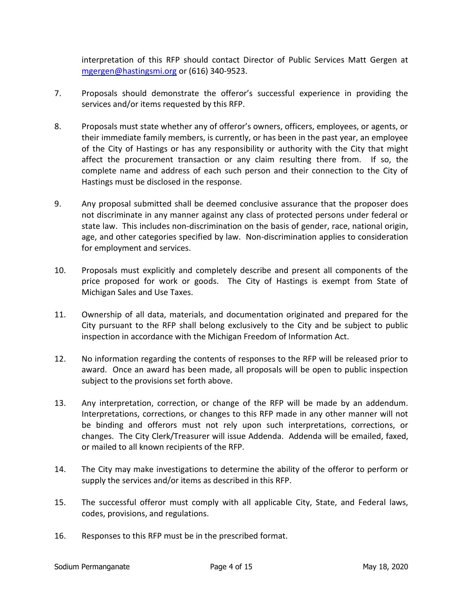interpretation of this RFP should contact Director of Public Services Matt Gergen at [mgergen@hastingsmi.org](mailto:mgergen@hastingsmi.org) or (616) 340-9523.

- 7. Proposals should demonstrate the offeror's successful experience in providing the services and/or items requested by this RFP.
- 8. Proposals must state whether any of offeror's owners, officers, employees, or agents, or their immediate family members, is currently, or has been in the past year, an employee of the City of Hastings or has any responsibility or authority with the City that might affect the procurement transaction or any claim resulting there from. If so, the complete name and address of each such person and their connection to the City of Hastings must be disclosed in the response.
- 9. Any proposal submitted shall be deemed conclusive assurance that the proposer does not discriminate in any manner against any class of protected persons under federal or state law. This includes non-discrimination on the basis of gender, race, national origin, age, and other categories specified by law. Non-discrimination applies to consideration for employment and services.
- 10. Proposals must explicitly and completely describe and present all components of the price proposed for work or goods. The City of Hastings is exempt from State of Michigan Sales and Use Taxes.
- 11. Ownership of all data, materials, and documentation originated and prepared for the City pursuant to the RFP shall belong exclusively to the City and be subject to public inspection in accordance with the Michigan Freedom of Information Act.
- 12. No information regarding the contents of responses to the RFP will be released prior to award. Once an award has been made, all proposals will be open to public inspection subject to the provisions set forth above.
- 13. Any interpretation, correction, or change of the RFP will be made by an addendum. Interpretations, corrections, or changes to this RFP made in any other manner will not be binding and offerors must not rely upon such interpretations, corrections, or changes. The City Clerk/Treasurer will issue Addenda. Addenda will be emailed, faxed, or mailed to all known recipients of the RFP.
- 14. The City may make investigations to determine the ability of the offeror to perform or supply the services and/or items as described in this RFP.
- 15. The successful offeror must comply with all applicable City, State, and Federal laws, codes, provisions, and regulations.
- 16. Responses to this RFP must be in the prescribed format.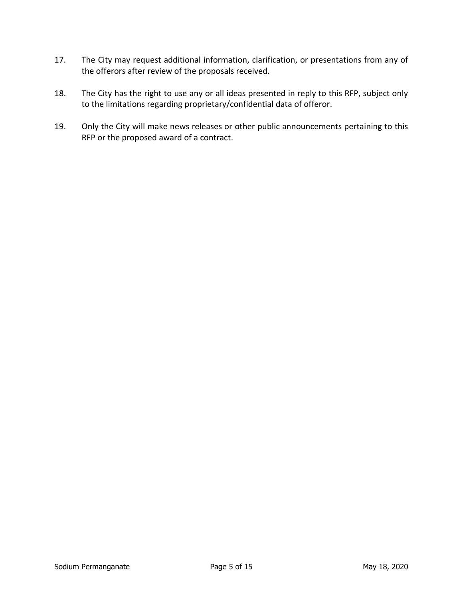- 17. The City may request additional information, clarification, or presentations from any of the offerors after review of the proposals received.
- 18. The City has the right to use any or all ideas presented in reply to this RFP, subject only to the limitations regarding proprietary/confidential data of offeror.
- 19. Only the City will make news releases or other public announcements pertaining to this RFP or the proposed award of a contract.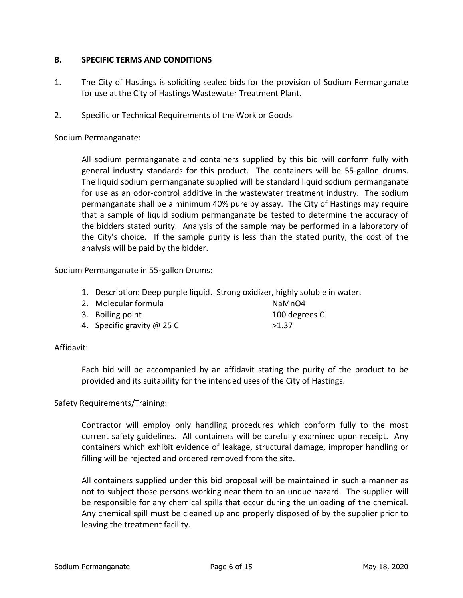### **B. SPECIFIC TERMS AND CONDITIONS**

- 1. The City of Hastings is soliciting sealed bids for the provision of Sodium Permanganate for use at the City of Hastings Wastewater Treatment Plant.
- 2. Specific or Technical Requirements of the Work or Goods

Sodium Permanganate:

All sodium permanganate and containers supplied by this bid will conform fully with general industry standards for this product. The containers will be 55-gallon drums. The liquid sodium permanganate supplied will be standard liquid sodium permanganate for use as an odor-control additive in the wastewater treatment industry. The sodium permanganate shall be a minimum 40% pure by assay. The City of Hastings may require that a sample of liquid sodium permanganate be tested to determine the accuracy of the bidders stated purity. Analysis of the sample may be performed in a laboratory of the City's choice. If the sample purity is less than the stated purity, the cost of the analysis will be paid by the bidder.

Sodium Permanganate in 55-gallon Drums:

- 1. Description: Deep purple liquid. Strong oxidizer, highly soluble in water.
- 2. Molecular formula NaMnO4 3. Boiling point 100 degrees C 4. Specific gravity  $\omega$  25 C  $>1.37$

#### Affidavit:

Each bid will be accompanied by an affidavit stating the purity of the product to be provided and its suitability for the intended uses of the City of Hastings.

Safety Requirements/Training:

Contractor will employ only handling procedures which conform fully to the most current safety guidelines. All containers will be carefully examined upon receipt. Any containers which exhibit evidence of leakage, structural damage, improper handling or filling will be rejected and ordered removed from the site.

All containers supplied under this bid proposal will be maintained in such a manner as not to subject those persons working near them to an undue hazard. The supplier will be responsible for any chemical spills that occur during the unloading of the chemical. Any chemical spill must be cleaned up and properly disposed of by the supplier prior to leaving the treatment facility.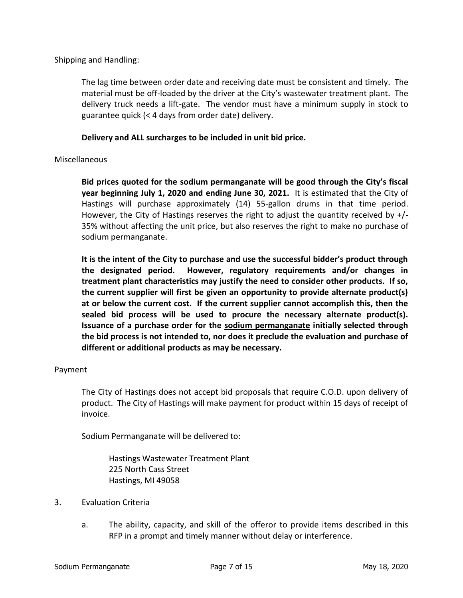Shipping and Handling:

The lag time between order date and receiving date must be consistent and timely. The material must be off-loaded by the driver at the City's wastewater treatment plant. The delivery truck needs a lift-gate. The vendor must have a minimum supply in stock to guarantee quick (< 4 days from order date) delivery.

### **Delivery and ALL surcharges to be included in unit bid price.**

### Miscellaneous

**Bid prices quoted for the sodium permanganate will be good through the City's fiscal year beginning July 1, 2020 and ending June 30, 2021.** It is estimated that the City of Hastings will purchase approximately (14) 55-gallon drums in that time period. However, the City of Hastings reserves the right to adjust the quantity received by  $+/-$ 35% without affecting the unit price, but also reserves the right to make no purchase of sodium permanganate.

**It is the intent of the City to purchase and use the successful bidder's product through the designated period. However, regulatory requirements and/or changes in treatment plant characteristics may justify the need to consider other products. If so, the current supplier will first be given an opportunity to provide alternate product(s) at or below the current cost. If the current supplier cannot accomplish this, then the sealed bid process will be used to procure the necessary alternate product(s). Issuance of a purchase order for the sodium permanganate initially selected through the bid process is not intended to, nor does it preclude the evaluation and purchase of different or additional products as may be necessary.** 

#### Payment

The City of Hastings does not accept bid proposals that require C.O.D. upon delivery of product. The City of Hastings will make payment for product within 15 days of receipt of invoice.

Sodium Permanganate will be delivered to:

Hastings Wastewater Treatment Plant 225 North Cass Street Hastings, MI 49058

- 3. Evaluation Criteria
	- a. The ability, capacity, and skill of the offeror to provide items described in this RFP in a prompt and timely manner without delay or interference.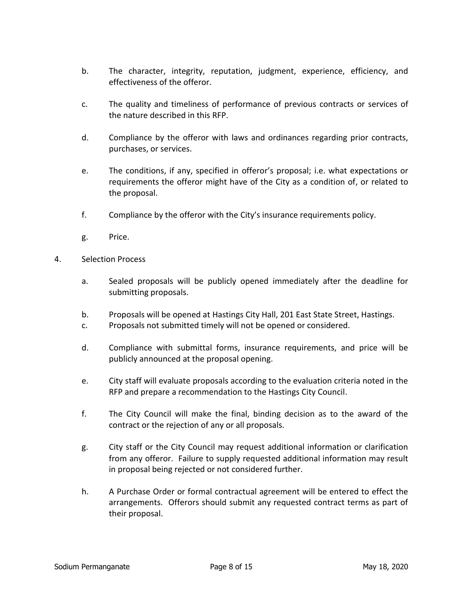- b. The character, integrity, reputation, judgment, experience, efficiency, and effectiveness of the offeror.
- c. The quality and timeliness of performance of previous contracts or services of the nature described in this RFP.
- d. Compliance by the offeror with laws and ordinances regarding prior contracts, purchases, or services.
- e. The conditions, if any, specified in offeror's proposal; i.e. what expectations or requirements the offeror might have of the City as a condition of, or related to the proposal.
- f. Compliance by the offeror with the City's insurance requirements policy.
- g. Price.
- 4. Selection Process
	- a. Sealed proposals will be publicly opened immediately after the deadline for submitting proposals.
	- b. Proposals will be opened at Hastings City Hall, 201 East State Street, Hastings.
	- c. Proposals not submitted timely will not be opened or considered.
	- d. Compliance with submittal forms, insurance requirements, and price will be publicly announced at the proposal opening.
	- e. City staff will evaluate proposals according to the evaluation criteria noted in the RFP and prepare a recommendation to the Hastings City Council.
	- f. The City Council will make the final, binding decision as to the award of the contract or the rejection of any or all proposals.
	- g. City staff or the City Council may request additional information or clarification from any offeror. Failure to supply requested additional information may result in proposal being rejected or not considered further.
	- h. A Purchase Order or formal contractual agreement will be entered to effect the arrangements. Offerors should submit any requested contract terms as part of their proposal.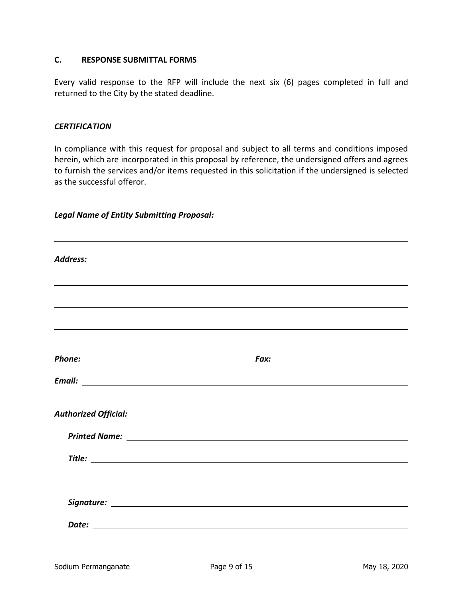## **C. RESPONSE SUBMITTAL FORMS**

Every valid response to the RFP will include the next six (6) pages completed in full and returned to the City by the stated deadline.

#### *CERTIFICATION*

In compliance with this request for proposal and subject to all terms and conditions imposed herein, which are incorporated in this proposal by reference, the undersigned offers and agrees to furnish the services and/or items requested in this solicitation if the undersigned is selected as the successful offeror.

### *Legal Name of Entity Submitting Proposal:*

| <b>Address:</b>                                                                                                                                                                                                               |                                                                                                               |
|-------------------------------------------------------------------------------------------------------------------------------------------------------------------------------------------------------------------------------|---------------------------------------------------------------------------------------------------------------|
|                                                                                                                                                                                                                               |                                                                                                               |
|                                                                                                                                                                                                                               |                                                                                                               |
|                                                                                                                                                                                                                               |                                                                                                               |
|                                                                                                                                                                                                                               | Fax: The Commission of the Commission of the Commission of the Commission of the Commission of the Commission |
|                                                                                                                                                                                                                               |                                                                                                               |
| <b>Authorized Official:</b>                                                                                                                                                                                                   |                                                                                                               |
| Printed Name: Name and Second Contract and Second Contract of the Contract of the Contract of the Contract of the Contract of the Contract of the Contract of the Contract of the Contract of the Contract of the Contract of |                                                                                                               |
|                                                                                                                                                                                                                               |                                                                                                               |
|                                                                                                                                                                                                                               |                                                                                                               |
|                                                                                                                                                                                                                               |                                                                                                               |
|                                                                                                                                                                                                                               |                                                                                                               |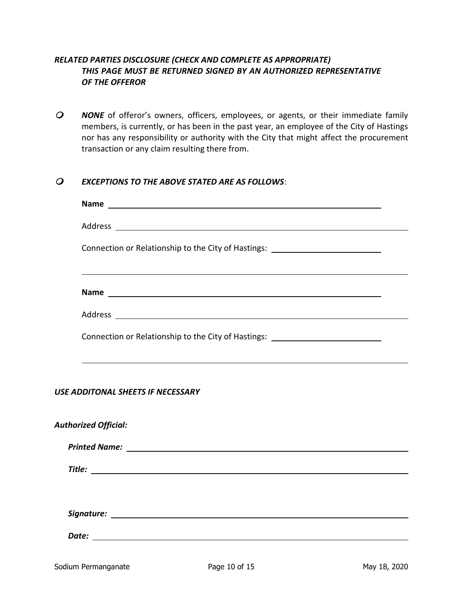## *RELATED PARTIES DISCLOSURE (CHECK AND COMPLETE AS APPROPRIATE) THIS PAGE MUST BE RETURNED SIGNED BY AN AUTHORIZED REPRESENTATIVE OF THE OFFEROR*

 *NONE* of offeror's owners, officers, employees, or agents, or their immediate family members, is currently, or has been in the past year, an employee of the City of Hastings nor has any responsibility or authority with the City that might affect the procurement transaction or any claim resulting there from.

## *EXCEPTIONS TO THE ABOVE STATED ARE AS FOLLOWS*:

| Connection or Relationship to the City of Hastings: ____________________________ |  |  |  |  |
|----------------------------------------------------------------------------------|--|--|--|--|
|                                                                                  |  |  |  |  |
|                                                                                  |  |  |  |  |
| Connection or Relationship to the City of Hastings: ____________________________ |  |  |  |  |
| USE ADDITONAL SHEETS IF NECESSARY                                                |  |  |  |  |
| <b>Authorized Official:</b>                                                      |  |  |  |  |
|                                                                                  |  |  |  |  |
|                                                                                  |  |  |  |  |
|                                                                                  |  |  |  |  |
|                                                                                  |  |  |  |  |
|                                                                                  |  |  |  |  |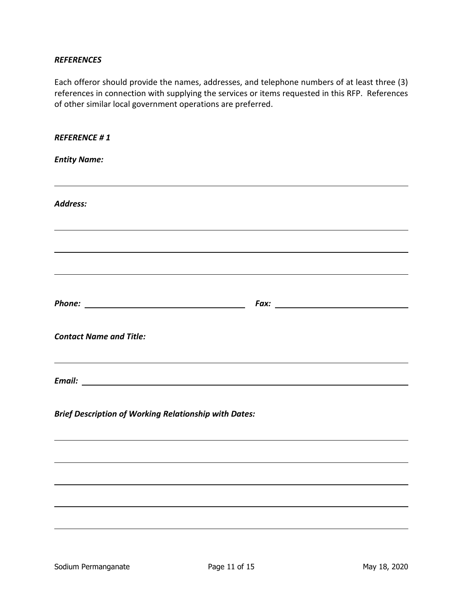### *REFERENCES*

Each offeror should provide the names, addresses, and telephone numbers of at least three (3) references in connection with supplying the services or items requested in this RFP. References of other similar local government operations are preferred.

| <b>REFERENCE #1</b>                                                              |  |  |
|----------------------------------------------------------------------------------|--|--|
| <b>Entity Name:</b>                                                              |  |  |
| Address:                                                                         |  |  |
| ,我们也不会有什么。""我们的人,我们也不会有什么?""我们的人,我们也不会有什么?""我们的人,我们也不会有什么?""我们的人,我们也不会有什么?""我们的人 |  |  |
|                                                                                  |  |  |
|                                                                                  |  |  |
| <b>Contact Name and Title:</b>                                                   |  |  |
|                                                                                  |  |  |
| <b>Brief Description of Working Relationship with Dates:</b>                     |  |  |
|                                                                                  |  |  |
|                                                                                  |  |  |
|                                                                                  |  |  |
|                                                                                  |  |  |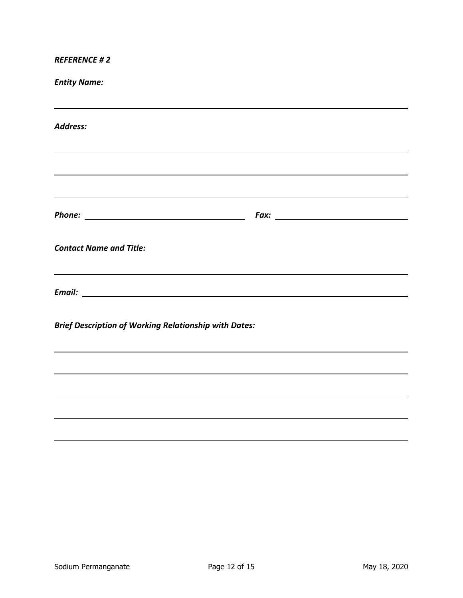*REFERENCE # 2*

*Entity Name: Address: Phone: Fax: Contact Name and Title: Email:*

*Brief Description of Working Relationship with Dates:*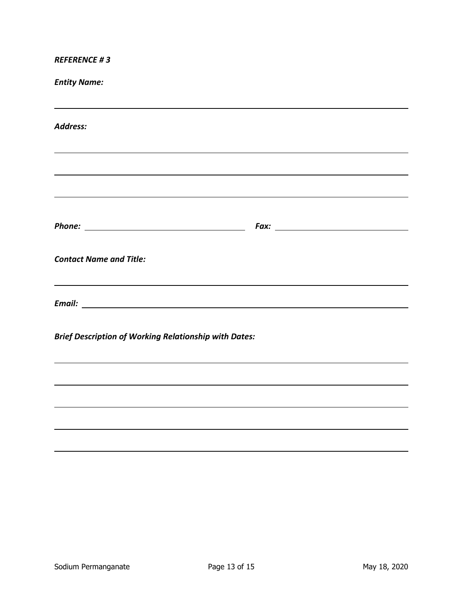*REFERENCE # 3*

*Entity Name:*

| <b>Address:</b>                                              |  |  |
|--------------------------------------------------------------|--|--|
|                                                              |  |  |
|                                                              |  |  |
|                                                              |  |  |
| <b>Contact Name and Title:</b>                               |  |  |
|                                                              |  |  |
| <b>Brief Description of Working Relationship with Dates:</b> |  |  |
|                                                              |  |  |
|                                                              |  |  |
|                                                              |  |  |
|                                                              |  |  |
|                                                              |  |  |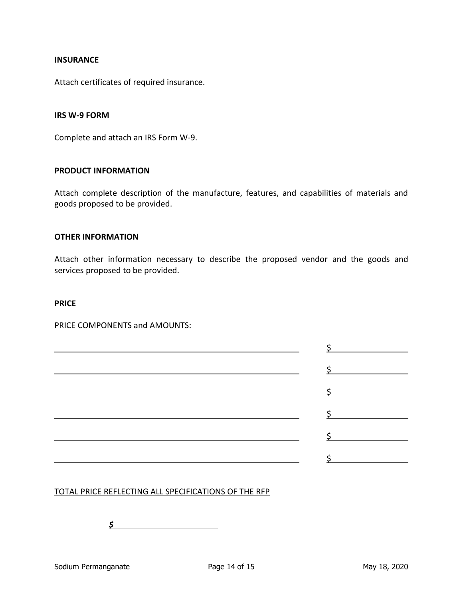#### **INSURANCE**

Attach certificates of required insurance.

#### **IRS W-9 FORM**

Complete and attach an IRS Form W-9.

#### **PRODUCT INFORMATION**

Attach complete description of the manufacture, features, and capabilities of materials and goods proposed to be provided.

#### **OTHER INFORMATION**

Attach other information necessary to describe the proposed vendor and the goods and services proposed to be provided.

#### **PRICE**

PRICE COMPONENTS and AMOUNTS:

|                                                       | $\frac{1}{2}$ |
|-------------------------------------------------------|---------------|
|                                                       | $\frac{1}{2}$ |
| <u> 1980 - Andrea Andrew Maria (h. 1980).</u>         | $\frac{1}{2}$ |
|                                                       |               |
| <u> 1989 - Johann Stoff, fransk politik (d. 1989)</u> | $\frac{1}{2}$ |
|                                                       | $\frac{1}{2}$ |
|                                                       | $\zeta$       |

### TOTAL PRICE REFLECTING ALL SPECIFICATIONS OF THE RFP

*\$*